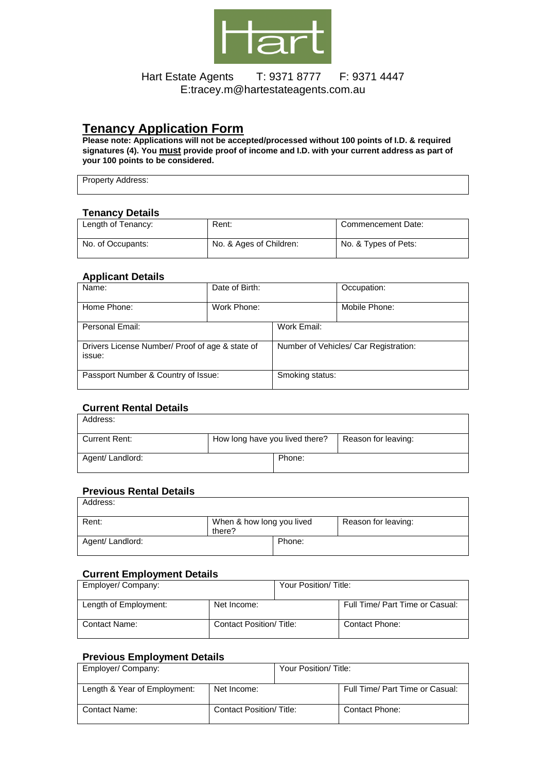

## Hart Estate Agents T: 9371 8777 F: 9371 4447 E:tracey.m@hartestateagents.com.au

# **Tenancy Application Form**

**Please note: Applications will not be accepted/processed without 100 points of I.D. & required signatures (4). You must provide proof of income and I.D. with your current address as part of your 100 points to be considered.** 

Property Address:

#### **Tenancy Details**

| .<br>--------      |                         |                      |
|--------------------|-------------------------|----------------------|
| Length of Tenancy: | Rent:                   | Commencement Date:   |
| No. of Occupants:  | No. & Ages of Children: | No. & Types of Pets: |

## **Applicant Details**

| Name:                                                     | Date of Birth: |                                       | Occupation:   |
|-----------------------------------------------------------|----------------|---------------------------------------|---------------|
| Home Phone:                                               | Work Phone:    |                                       | Mobile Phone: |
| Personal Email:                                           |                | Work Email:                           |               |
| Drivers License Number/ Proof of age & state of<br>issue: |                | Number of Vehicles/ Car Registration: |               |
| Passport Number & Country of Issue:                       |                | Smoking status:                       |               |

#### **Current Rental Details**

| Address:         |                                |                     |
|------------------|--------------------------------|---------------------|
| Current Rent:    | How long have you lived there? | Reason for leaving: |
| Agent/ Landlord: | Phone:                         |                     |

## **Previous Rental Details**

| Address:         |                                     |        |                     |
|------------------|-------------------------------------|--------|---------------------|
| Rent:            | When & how long you lived<br>there? |        | Reason for leaving: |
| Agent/ Landlord: |                                     | Phone: |                     |

#### **Current Employment Details**

| Employer/Company:     |                         | Your Position/Title: |                                 |
|-----------------------|-------------------------|----------------------|---------------------------------|
| Length of Employment: | Net Income:             |                      | Full Time/ Part Time or Casual: |
| Contact Name:         | Contact Position/Title: |                      | Contact Phone:                  |

## **Previous Employment Details**

| Employer/ Company:           |                                 | Your Position/Title: |                                 |
|------------------------------|---------------------------------|----------------------|---------------------------------|
| Length & Year of Employment: | Net Income:                     |                      | Full Time/ Part Time or Casual: |
| <b>Contact Name:</b>         | <b>Contact Position/ Title:</b> |                      | Contact Phone:                  |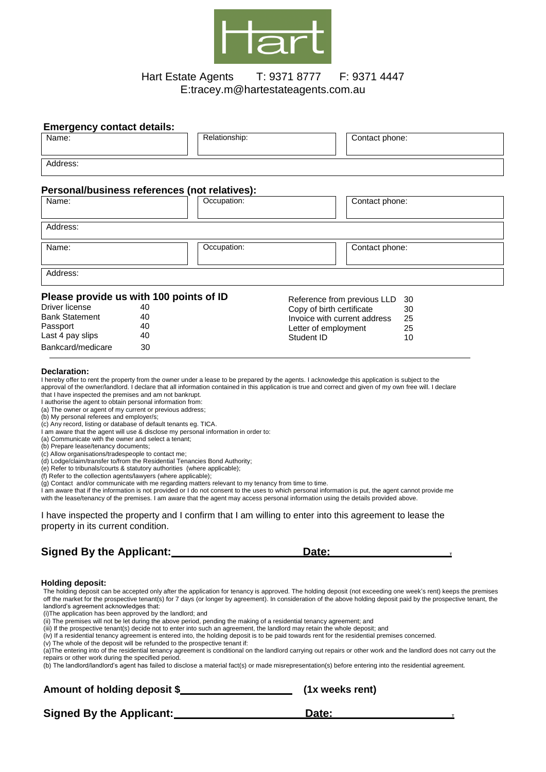

## Hart Estate Agents T: 9371 8777 F: 9371 4447 E:tracey.m@hartestateagents.com.au

| <b>Emergency contact details:</b>                                                                                                                                                                                                                                                                                                                                                                                                                                                                                                                                                                                                                                                                                                                                                                                                                                                                                                                                                                                                                              |          |                                                                                                                                                                                                                                                        |                                                                               |                                                                                                                                                                                                                                                                                                                                                                                                                                                                                                                                                                                                                                                                  |
|----------------------------------------------------------------------------------------------------------------------------------------------------------------------------------------------------------------------------------------------------------------------------------------------------------------------------------------------------------------------------------------------------------------------------------------------------------------------------------------------------------------------------------------------------------------------------------------------------------------------------------------------------------------------------------------------------------------------------------------------------------------------------------------------------------------------------------------------------------------------------------------------------------------------------------------------------------------------------------------------------------------------------------------------------------------|----------|--------------------------------------------------------------------------------------------------------------------------------------------------------------------------------------------------------------------------------------------------------|-------------------------------------------------------------------------------|------------------------------------------------------------------------------------------------------------------------------------------------------------------------------------------------------------------------------------------------------------------------------------------------------------------------------------------------------------------------------------------------------------------------------------------------------------------------------------------------------------------------------------------------------------------------------------------------------------------------------------------------------------------|
| Name:                                                                                                                                                                                                                                                                                                                                                                                                                                                                                                                                                                                                                                                                                                                                                                                                                                                                                                                                                                                                                                                          |          | Relationship:                                                                                                                                                                                                                                          |                                                                               | Contact phone:                                                                                                                                                                                                                                                                                                                                                                                                                                                                                                                                                                                                                                                   |
| Address:                                                                                                                                                                                                                                                                                                                                                                                                                                                                                                                                                                                                                                                                                                                                                                                                                                                                                                                                                                                                                                                       |          |                                                                                                                                                                                                                                                        |                                                                               |                                                                                                                                                                                                                                                                                                                                                                                                                                                                                                                                                                                                                                                                  |
| Personal/business references (not relatives):                                                                                                                                                                                                                                                                                                                                                                                                                                                                                                                                                                                                                                                                                                                                                                                                                                                                                                                                                                                                                  |          |                                                                                                                                                                                                                                                        |                                                                               |                                                                                                                                                                                                                                                                                                                                                                                                                                                                                                                                                                                                                                                                  |
| Name:                                                                                                                                                                                                                                                                                                                                                                                                                                                                                                                                                                                                                                                                                                                                                                                                                                                                                                                                                                                                                                                          |          | Occupation:                                                                                                                                                                                                                                            |                                                                               | Contact phone:                                                                                                                                                                                                                                                                                                                                                                                                                                                                                                                                                                                                                                                   |
| Address:                                                                                                                                                                                                                                                                                                                                                                                                                                                                                                                                                                                                                                                                                                                                                                                                                                                                                                                                                                                                                                                       |          |                                                                                                                                                                                                                                                        |                                                                               |                                                                                                                                                                                                                                                                                                                                                                                                                                                                                                                                                                                                                                                                  |
| Name:                                                                                                                                                                                                                                                                                                                                                                                                                                                                                                                                                                                                                                                                                                                                                                                                                                                                                                                                                                                                                                                          |          | Occupation:                                                                                                                                                                                                                                            |                                                                               | Contact phone:                                                                                                                                                                                                                                                                                                                                                                                                                                                                                                                                                                                                                                                   |
| Address:                                                                                                                                                                                                                                                                                                                                                                                                                                                                                                                                                                                                                                                                                                                                                                                                                                                                                                                                                                                                                                                       |          |                                                                                                                                                                                                                                                        |                                                                               |                                                                                                                                                                                                                                                                                                                                                                                                                                                                                                                                                                                                                                                                  |
|                                                                                                                                                                                                                                                                                                                                                                                                                                                                                                                                                                                                                                                                                                                                                                                                                                                                                                                                                                                                                                                                |          |                                                                                                                                                                                                                                                        |                                                                               |                                                                                                                                                                                                                                                                                                                                                                                                                                                                                                                                                                                                                                                                  |
| Please provide us with 100 points of ID<br>Driver license<br>40<br><b>Bank Statement</b><br>40                                                                                                                                                                                                                                                                                                                                                                                                                                                                                                                                                                                                                                                                                                                                                                                                                                                                                                                                                                 |          | Copy of birth certificate                                                                                                                                                                                                                              | Reference from previous LLD<br>30<br>30<br>Invoice with current address<br>25 |                                                                                                                                                                                                                                                                                                                                                                                                                                                                                                                                                                                                                                                                  |
| Passport<br>Last 4 pay slips                                                                                                                                                                                                                                                                                                                                                                                                                                                                                                                                                                                                                                                                                                                                                                                                                                                                                                                                                                                                                                   | 40<br>40 |                                                                                                                                                                                                                                                        | Letter of employment<br>Student ID                                            | 25<br>10                                                                                                                                                                                                                                                                                                                                                                                                                                                                                                                                                                                                                                                         |
| Bankcard/medicare                                                                                                                                                                                                                                                                                                                                                                                                                                                                                                                                                                                                                                                                                                                                                                                                                                                                                                                                                                                                                                              | 30       |                                                                                                                                                                                                                                                        |                                                                               |                                                                                                                                                                                                                                                                                                                                                                                                                                                                                                                                                                                                                                                                  |
| that I have inspected the premises and am not bankrupt.<br>I authorise the agent to obtain personal information from:<br>(a) The owner or agent of my current or previous address;<br>(b) My personal referees and employer/s;<br>(c) Any record, listing or database of default tenants eg. TICA.<br>I am aware that the agent will use & disclose my personal information in order to:<br>(a) Communicate with the owner and select a tenant;<br>(b) Prepare lease/tenancy documents;<br>(c) Allow organisations/tradespeople to contact me;<br>(d) Lodge/claim/transfer to/from the Residential Tenancies Bond Authority;<br>(e) Refer to tribunals/courts & statutory authorities (where applicable);<br>(f) Refer to the collection agents/lawyers (where applicable);<br>(g) Contact and/or communicate with me regarding matters relevant to my tenancy from time to time.<br>with the lease/tenancy of the premises. I am aware that the agent may access personal information using the details provided above.<br>property in its current condition. |          |                                                                                                                                                                                                                                                        |                                                                               | I am aware that if the information is not provided or I do not consent to the uses to which personal information is put, the agent cannot provide me<br>I have inspected the property and I confirm that I am willing to enter into this agreement to lease the                                                                                                                                                                                                                                                                                                                                                                                                  |
| <b>Signed By the Applicant:</b>                                                                                                                                                                                                                                                                                                                                                                                                                                                                                                                                                                                                                                                                                                                                                                                                                                                                                                                                                                                                                                |          |                                                                                                                                                                                                                                                        | Date:                                                                         |                                                                                                                                                                                                                                                                                                                                                                                                                                                                                                                                                                                                                                                                  |
| <b>Holding deposit:</b><br>landlord's agreement acknowledges that:<br>(i) The application has been approved by the landlord; and<br>(v) The whole of the deposit will be refunded to the prospective tenant if:                                                                                                                                                                                                                                                                                                                                                                                                                                                                                                                                                                                                                                                                                                                                                                                                                                                |          | (ii) The premises will not be let during the above period, pending the making of a residential tenancy agreement; and<br>(iii) If the prospective tenant(s) decide not to enter into such an agreement, the landlord may retain the whole deposit; and |                                                                               | The holding deposit can be accepted only after the application for tenancy is approved. The holding deposit (not exceeding one week's rent) keeps the premises<br>off the market for the prospective tenant(s) for 7 days (or longer by agreement). In consideration of the above holding deposit paid by the prospective tenant, the<br>(iv) If a residential tenancy agreement is entered into, the holding deposit is to be paid towards rent for the residential premises concerned.<br>(a) The entering into of the residential tenancy agreement is conditional on the landlord carrying out renairs or other work and the landlord does not carry out the |

(a)The entering into of the residential tenancy agreement is conditional on the landlord carrying out repairs or other work and the landlord does not carry out the repairs or other work during the specified period.

(b) The landlord/landlord's agent has failed to disclose a material fact(s) or made misrepresentation(s) before entering into the residential agreement.

# Amount of holding deposit \$<br> **Amount of holding deposit \$ (1x weeks rent)**

**Signed By the Applicant:** Date: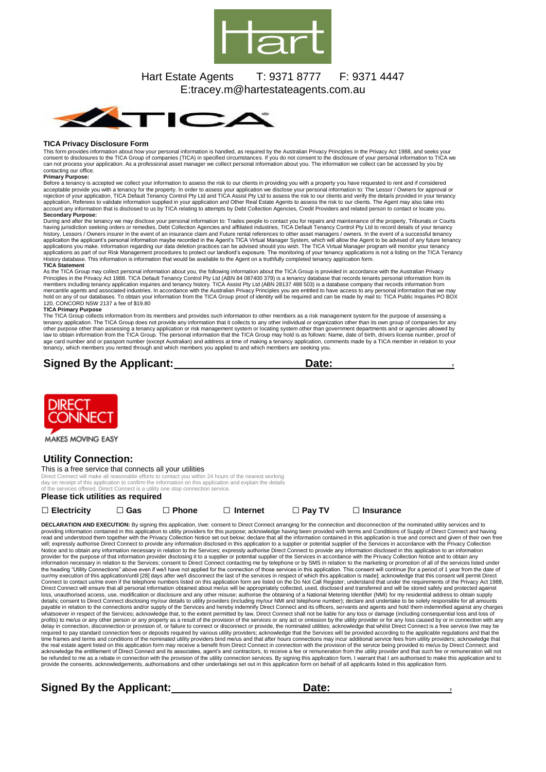

## Hart Estate Agents T: 9371 8777 F: 9371 4447 E:tracey.m@hartestateagents.com.au



#### **TICA Privacy Disclosure Form**

This form provides information about how your personal information is handled, as required by the Australian Privacy Principles in the Privacy Act 1988, and seeks your consent to disclosures to the TICA Group of companies (TICA) in specified circumstances. If you do not consent to the disclosure of your personal information to TICA we<br>can not process your application. As a professional a contacting our office.

**Primary Purpose:** Before a tenancy is accepted we collect your information to assess the risk to our clients in providing you with a property you have requested to rent and if considered acceptable provide you with a tenancy for the property. In order to assess your application we disclose your personal information to: The Lessor / Owners for approval or<br>rejection of your application, TICA Default Tenancy

#### **Secondary Purpose:**

During and after the tenancy we may disclose your personal information to: Trades people to contact you for repairs and maintenance of the property, Tribunals or Courts<br>having jurisdiction seeking orders or remedies, Debt applications as part of our Risk Management procedures to protect our landlord's exposure. The monitoring of your tenancy applications is not a listing on the TICA Tenancy<br>History database. This information is information

As the TICA Group may collect personal information about you, the following information about the TICA Group is provided in accordance with the Australian Privacy<br>Principles in the Privacy Act 1988. TICA Default Tenancy Co members including tenancy application inquiries and tenancy history. TICA Assist Pty Ltd (ABN 28137 488 503) is a database company that records information from<br>mercantile agents and associated industries. In accordance wi 120, CONCORD NSW 2137 a fee of \$19.80

#### **TICA Primary Purpose**

The TICA Group collects information from its members and provides such information to other members as a risk management system for the purpose of assessing a tenancy application. The TICA Group does not provide any information that it collects to any other individual or organization other than its own group of companies for any<br>other purpose other than assessing a tenancy appli age card number and or passport number (except Australian) and address at time of making a tenancy application, comments made by a TICA member in relation to your tenancy, which members you rented through and which members you applied to and which members are seeking you.

## **Signed By the Applicant:** Date:



MAKES MOVING EASY

#### **Utility Connection:**

#### This is a free service that connects all your utilities

Direct Connect will make all reasonable efforts to contact you within 24 hours of the nearest working day on receipt of this application to confirm the information on this application and explain the details of the services offered. Direct Connect is a utility one stop connection service.

#### **Please tick utilities as required**

**□ Electricity □ Gas □ Phone □ Internet □ Pay TV □ Insurance**

DECLARATION AND EXECUTION: By signing this application, I/we: consent to Direct Connect arranging for the connection and disconnection of the nominated utility services and to providing information contained in this application to utility providers for this purpose; acknowledge having been provided with terms and Conditions of Supply of Direct Connect and having<br>read and understood them together Notice and to obtain any information necessary in relation to the Services; expressly authorise Direct Connect to provide any information disclosed in this application to an information or promotion or information provider Direct Connect will ensure that all personal information obtained about me/us will be appropriately collected, used, disclosed and transferred and will be stored safely and protected against<br>loss, unauthorised access, use, whatsoever in respect of the Services; acknowledge that, to the extent permitted by law, Direct Connect shall not be liable for any loss or damage (including consequential loss and loss of<br>profits) to me/us or any other pe the real estate agent listed on this application form may receive a benefit from Direct Connect in connection with the provision of the service being provided to me/us by Direct Connect; and the service being provided to m acknowledge the entitlement of Direct Connect and its associates, agent's and contractors, to receive a fee or remuneration from the utility provider and that such fee or remuneration will not be refunded to me as a rebate in connection with the provision of the utility connection services. By signing this application form, I warrant that I am authorised to make this application and to<br>provide the consents, ackn

**Signed By the Applicant: The Contract Contract Contract Contract Contract Contract Contract Contract Contract Contract Contract Contract Contract Contract Contract Contract Contract Contract Contract Contract Contract C**